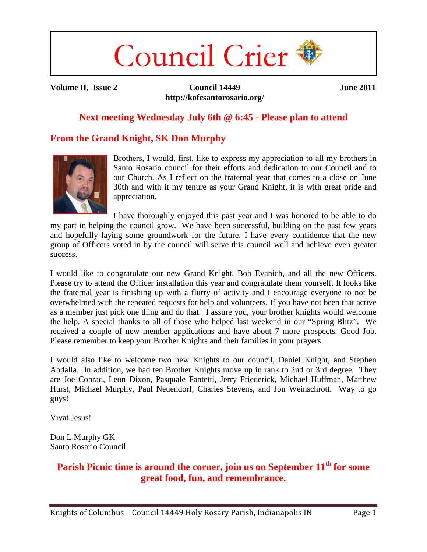# Council Crier

**Volume II, Issue 2 Council 14449 http://kofcsantorosario.org/**  **June 2011**

## **Next meeting Wednesday July 6th @ 6:45 - Please plan to attend**

# **From the Grand Knight, SK Don Murphy**



Brothers, I would, first, like to express my appreciation to all my brothers in Santo Rosario council for their efforts and dedication to our Council and to our Church. As I reflect on the fraternal year that comes to a close on June 30th and with it my tenure as your Grand Knight, it is with great pride and appreciation.

I have thoroughly enjoyed this past year and I was honored to be able to do my part in helping the council grow. We have been successful, building on the past few years and hopefully laying some groundwork for the future. I have every confidence that the new group of Officers voted in by the council will serve this council well and achieve even greater success.

I would like to congratulate our new Grand Knight, Bob Evanich, and all the new Officers. Please try to attend the Officer installation this year and congratulate them yourself. It looks like the fraternal year is finishing up with a flurry of activity and I encourage everyone to not be overwhelmed with the repeated requests for help and volunteers. If you have not been that active as a member just pick one thing and do that. I assure you, your brother knights would welcome the help. A special thanks to all of those who helped last weekend in our "Spring Blitz". We received a couple of new member applications and have about 7 more prospects. Good Job. Please remember to keep your Brother Knights and their families in your prayers.

I would also like to welcome two new Knights to our council, Daniel Knight, and Stephen Abdalla. In addition, we had ten Brother Knights move up in rank to 2nd or 3rd degree. They are Joe Conrad, Leon Dixon, Pasquale Fantetti, Jerry Friederick, Michael Huffman, Matthew Hurst, Michael Murphy, Paul Neuendorf, Charles Stevens, and Jon Weinschrott. Way to go guys!

Vivat Jesus!

Don L Murphy GK Santo Rosario Council

# Parish Picnic time is around the corner, join us on September  $11<sup>th</sup>$  for some **great food, fun, and remembrance.**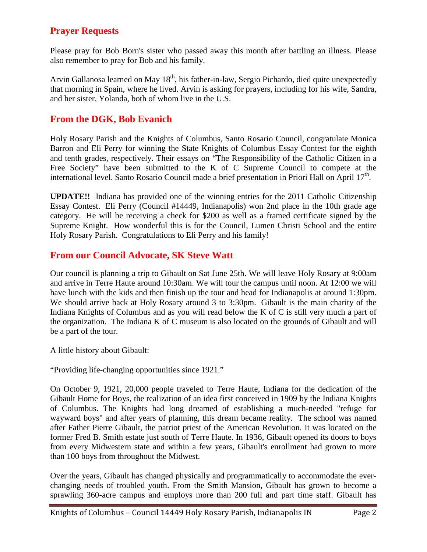# **Prayer Requests**

Please pray for Bob Born's sister who passed away this month after battling an illness. Please also remember to pray for Bob and his family.

Arvin Gallanosa learned on May  $18<sup>th</sup>$ , his father-in-law, Sergio Pichardo, died quite unexpectedly that morning in Spain, where he lived. Arvin is asking for prayers, including for his wife, Sandra, and her sister, Yolanda, both of whom live in the U.S.

## **From the DGK, Bob Evanich**

Holy Rosary Parish and the Knights of Columbus, Santo Rosario Council, congratulate Monica Barron and Eli Perry for winning the State Knights of Columbus Essay Contest for the eighth and tenth grades, respectively. Their essays on "The Responsibility of the Catholic Citizen in a Free Society" have been submitted to the K of C Supreme Council to compete at the international level. Santo Rosario Council made a brief presentation in Priori Hall on April  $17<sup>th</sup>$ .

**UPDATE!!** Indiana has provided one of the winning entries for the 2011 Catholic Citizenship Essay Contest. Eli Perry (Council #14449, Indianapolis) won 2nd place in the 10th grade age category. He will be receiving a check for \$200 as well as a framed certificate signed by the Supreme Knight. How wonderful this is for the Council, Lumen Christi School and the entire Holy Rosary Parish. Congratulations to Eli Perry and his family!

### **From our Council Advocate, SK Steve Watt**

Our council is planning a trip to Gibault on Sat June 25th. We will leave Holy Rosary at 9:00am and arrive in Terre Haute around 10:30am. We will tour the campus until noon. At 12:00 we will have lunch with the kids and then finish up the tour and head for Indianapolis at around 1:30pm. We should arrive back at Holy Rosary around 3 to 3:30pm. Gibault is the main charity of the Indiana Knights of Columbus and as you will read below the K of C is still very much a part of the organization. The Indiana K of C museum is also located on the grounds of Gibault and will be a part of the tour.

A little history about Gibault:

"Providing life-changing opportunities since 1921."

On October 9, 1921, 20,000 people traveled to Terre Haute, Indiana for the dedication of the Gibault Home for Boys, the realization of an idea first conceived in 1909 by the Indiana Knights of Columbus. The Knights had long dreamed of establishing a much-needed "refuge for wayward boys" and after years of planning, this dream became reality. The school was named after Father Pierre Gibault, the patriot priest of the American Revolution. It was located on the former Fred B. Smith estate just south of Terre Haute. In 1936, Gibault opened its doors to boys from every Midwestern state and within a few years, Gibault's enrollment had grown to more than 100 boys from throughout the Midwest.

Over the years, Gibault has changed physically and programmatically to accommodate the everchanging needs of troubled youth. From the Smith Mansion, Gibault has grown to become a sprawling 360-acre campus and employs more than 200 full and part time staff. Gibault has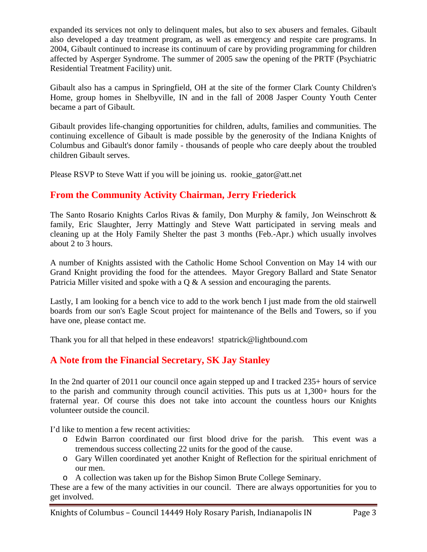expanded its services not only to delinquent males, but also to sex abusers and females. Gibault also developed a day treatment program, as well as emergency and respite care programs. In 2004, Gibault continued to increase its continuum of care by providing programming for children affected by Asperger Syndrome. The summer of 2005 saw the opening of the PRTF (Psychiatric Residential Treatment Facility) unit.

Gibault also has a campus in Springfield, OH at the site of the former Clark County Children's Home, group homes in Shelbyville, IN and in the fall of 2008 Jasper County Youth Center became a part of Gibault.

Gibault provides life-changing opportunities for children, adults, families and communities. The continuing excellence of Gibault is made possible by the generosity of the Indiana Knights of Columbus and Gibault's donor family - thousands of people who care deeply about the troubled children Gibault serves.

Please RSVP to Steve Watt if you will be joining us. rookie\_gator@att.net

# **From the Community Activity Chairman, Jerry Friederick**

The Santo Rosario Knights Carlos Rivas & family, Don Murphy & family, Jon Weinschrott & family, Eric Slaughter, Jerry Mattingly and Steve Watt participated in serving meals and cleaning up at the Holy Family Shelter the past 3 months (Feb.-Apr.) which usually involves about 2 to 3 hours.

A number of Knights assisted with the Catholic Home School Convention on May 14 with our Grand Knight providing the food for the attendees. Mayor Gregory Ballard and State Senator Patricia Miller visited and spoke with a Q & A session and encouraging the parents.

Lastly, I am looking for a bench vice to add to the work bench I just made from the old stairwell boards from our son's Eagle Scout project for maintenance of the Bells and Towers, so if you have one, please contact me.

Thank you for all that helped in these endeavors! stpatrick@lightbound.com

## **A Note from the Financial Secretary, SK Jay Stanley**

In the 2nd quarter of 2011 our council once again stepped up and I tracked 235+ hours of service to the parish and community through council activities. This puts us at 1,300+ hours for the fraternal year. Of course this does not take into account the countless hours our Knights volunteer outside the council.

I'd like to mention a few recent activities:

- o Edwin Barron coordinated our first blood drive for the parish. This event was a tremendous success collecting 22 units for the good of the cause.
- o Gary Willen coordinated yet another Knight of Reflection for the spiritual enrichment of our men.
- o A collection was taken up for the Bishop Simon Brute College Seminary.

These are a few of the many activities in our council. There are always opportunities for you to get involved.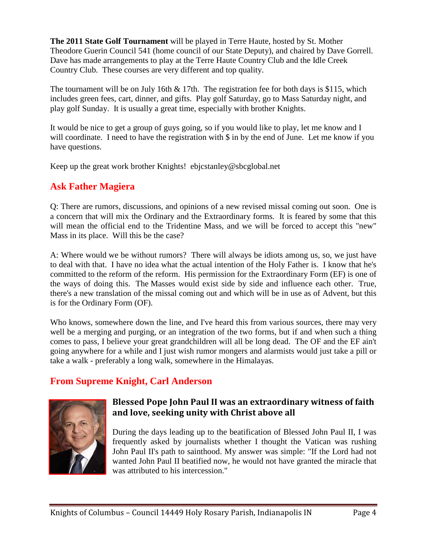**The 2011 State Golf Tournament** will be played in Terre Haute, hosted by St. Mother Theodore Guerin Council 541 (home council of our State Deputy), and chaired by Dave Gorrell. Dave has made arrangements to play at the Terre Haute Country Club and the Idle Creek Country Club. These courses are very different and top quality.

The tournament will be on July 16th  $\&$  17th. The registration fee for both days is \$115, which includes green fees, cart, dinner, and gifts. Play golf Saturday, go to Mass Saturday night, and play golf Sunday. It is usually a great time, especially with brother Knights.

It would be nice to get a group of guys going, so if you would like to play, let me know and I will coordinate. I need to have the registration with  $\frac{1}{2}$  in by the end of June. Let me know if you have questions.

Keep up the great work brother Knights! ebjcstanley@sbcglobal.net

# **Ask Father Magiera**

Q: There are rumors, discussions, and opinions of a new revised missal coming out soon. One is a concern that will mix the Ordinary and the Extraordinary forms. It is feared by some that this will mean the official end to the Tridentine Mass, and we will be forced to accept this "new" Mass in its place. Will this be the case?

A: Where would we be without rumors? There will always be idiots among us, so, we just have to deal with that. I have no idea what the actual intention of the Holy Father is. I know that he's committed to the reform of the reform. His permission for the Extraordinary Form (EF) is one of the ways of doing this. The Masses would exist side by side and influence each other. True, there's a new translation of the missal coming out and which will be in use as of Advent, but this is for the Ordinary Form (OF).

Who knows, somewhere down the line, and I've heard this from various sources, there may very well be a merging and purging, or an integration of the two forms, but if and when such a thing comes to pass, I believe your great grandchildren will all be long dead. The OF and the EF ain't going anywhere for a while and I just wish rumor mongers and alarmists would just take a pill or take a walk - preferably a long walk, somewhere in the Himalayas.

# **From Supreme Knight, Carl Anderson**



### Blessed Pope John Paul II was an extraordinary witness of faith and love, seeking unity with Christ above all

During the days leading up to the beatification of Blessed John Paul II, I was frequently asked by journalists whether I thought the Vatican was rushing John Paul II's path to sainthood. My answer was simple: "If the Lord had not wanted John Paul II beatified now, he would not have granted the miracle that was attributed to his intercession."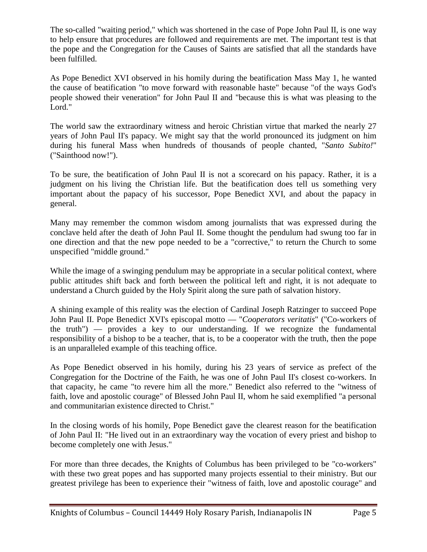The so-called "waiting period," which was shortened in the case of Pope John Paul II, is one way to help ensure that procedures are followed and requirements are met. The important test is that the pope and the Congregation for the Causes of Saints are satisfied that all the standards have been fulfilled.

As Pope Benedict XVI observed in his homily during the beatification Mass May 1, he wanted the cause of beatification "to move forward with reasonable haste" because "of the ways God's people showed their veneration" for John Paul II and "because this is what was pleasing to the Lord."

The world saw the extraordinary witness and heroic Christian virtue that marked the nearly 27 years of John Paul II's papacy. We might say that the world pronounced its judgment on him during his funeral Mass when hundreds of thousands of people chanted, "*Santo Subito!*" ("Sainthood now!").

To be sure, the beatification of John Paul II is not a scorecard on his papacy. Rather, it is a judgment on his living the Christian life. But the beatification does tell us something very important about the papacy of his successor, Pope Benedict XVI, and about the papacy in general.

Many may remember the common wisdom among journalists that was expressed during the conclave held after the death of John Paul II. Some thought the pendulum had swung too far in one direction and that the new pope needed to be a "corrective," to return the Church to some unspecified "middle ground."

While the image of a swinging pendulum may be appropriate in a secular political context, where public attitudes shift back and forth between the political left and right, it is not adequate to understand a Church guided by the Holy Spirit along the sure path of salvation history.

A shining example of this reality was the election of Cardinal Joseph Ratzinger to succeed Pope John Paul II. Pope Benedict XVI's episcopal motto — "*Cooperators veritatis*" ("Co-workers of the truth") — provides a key to our understanding. If we recognize the fundamental responsibility of a bishop to be a teacher, that is, to be a cooperator with the truth, then the pope is an unparalleled example of this teaching office.

As Pope Benedict observed in his homily, during his 23 years of service as prefect of the Congregation for the Doctrine of the Faith, he was one of John Paul II's closest co-workers. In that capacity, he came "to revere him all the more." Benedict also referred to the "witness of faith, love and apostolic courage" of Blessed John Paul II, whom he said exemplified "a personal and communitarian existence directed to Christ."

In the closing words of his homily, Pope Benedict gave the clearest reason for the beatification of John Paul II: "He lived out in an extraordinary way the vocation of every priest and bishop to become completely one with Jesus."

For more than three decades, the Knights of Columbus has been privileged to be "co-workers" with these two great popes and has supported many projects essential to their ministry. But our greatest privilege has been to experience their "witness of faith, love and apostolic courage" and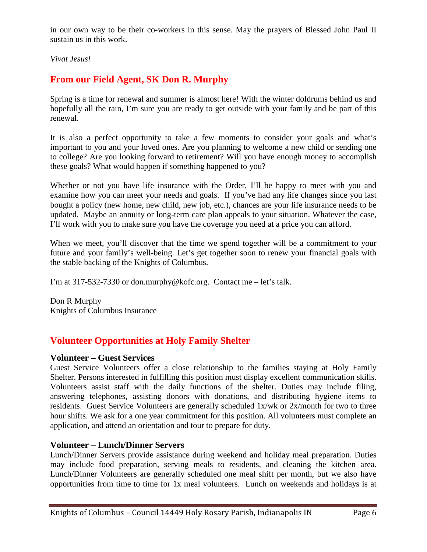in our own way to be their co-workers in this sense. May the prayers of Blessed John Paul II sustain us in this work.

*Vivat Jesus!* 

# **From our Field Agent, SK Don R. Murphy**

Spring is a time for renewal and summer is almost here! With the winter doldrums behind us and hopefully all the rain, I'm sure you are ready to get outside with your family and be part of this renewal.

It is also a perfect opportunity to take a few moments to consider your goals and what's important to you and your loved ones. Are you planning to welcome a new child or sending one to college? Are you looking forward to retirement? Will you have enough money to accomplish these goals? What would happen if something happened to you?

Whether or not you have life insurance with the Order, I'll be happy to meet with you and examine how you can meet your needs and goals. If you've had any life changes since you last bought a policy (new home, new child, new job, etc.), chances are your life insurance needs to be updated. Maybe an annuity or long-term care plan appeals to your situation. Whatever the case, I'll work with you to make sure you have the coverage you need at a price you can afford.

When we meet, you'll discover that the time we spend together will be a commitment to your future and your family's well-being. Let's get together soon to renew your financial goals with the stable backing of the Knights of Columbus.

I'm at 317-532-7330 or don.murphy@kofc.org. Contact me – let's talk.

Don R Murphy Knights of Columbus Insurance

# **Volunteer Opportunities at Holy Family Shelter**

#### **Volunteer – Guest Services**

Guest Service Volunteers offer a close relationship to the families staying at Holy Family Shelter. Persons interested in fulfilling this position must display excellent communication skills. Volunteers assist staff with the daily functions of the shelter. Duties may include filing, answering telephones, assisting donors with donations, and distributing hygiene items to residents. Guest Service Volunteers are generally scheduled 1x/wk or 2x/month for two to three hour shifts. We ask for a one year commitment for this position. All volunteers must complete an application, and attend an orientation and tour to prepare for duty.

#### **Volunteer – Lunch/Dinner Servers**

Lunch/Dinner Servers provide assistance during weekend and holiday meal preparation. Duties may include food preparation, serving meals to residents, and cleaning the kitchen area. Lunch/Dinner Volunteers are generally scheduled one meal shift per month, but we also have opportunities from time to time for 1x meal volunteers. Lunch on weekends and holidays is at